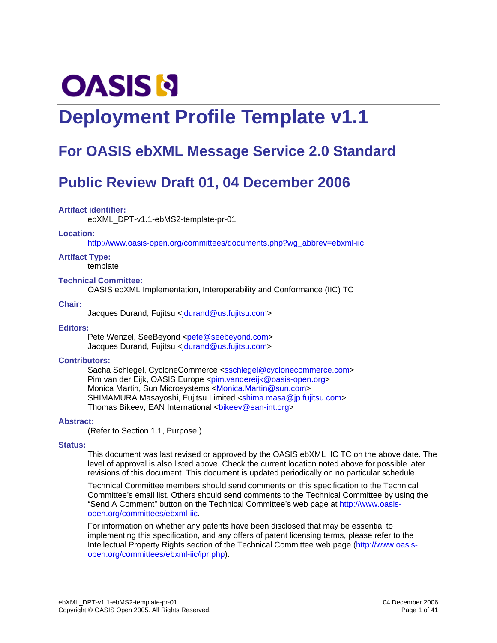# **OASIS N**

# **Deployment Profile Template v1.1**

# **For OASIS ebXML Message Service 2.0 Standard**

# **Public Review Draft 01, 04 December 2006**

#### **Artifact identifier:**

ebXML\_DPT-v1.1-ebMS2-template-pr-01

#### **Location:**

http://www.oasis-open.org/committees/documents.php?wg\_abbrev=ebxml-iic

#### **Artifact Type:**

template

#### **Technical Committee:**

OASIS ebXML Implementation, Interoperability and Conformance (IIC) TC

#### **Chair:**

Jacques Durand, Fujitsu <idurand@us.fujitsu.com>

#### **Editors:**

Pete Wenzel, SeeBeyond <pete@seebeyond.com> Jacques Durand, Fujitsu <idurand@us.fujitsu.com>

#### **Contributors:**

Sacha Schlegel, CycloneCommerce <sschlegel@cyclonecommerce.com> Pim van der Eijk, OASIS Europe <pim.vandereijk@oasis-open.org> Monica Martin, Sun Microsystems <Monica.Martin@sun.com> SHIMAMURA Masayoshi, Fujitsu Limited <shima.masa@jp.fujitsu.com> Thomas Bikeev, EAN International <br/>bikeev@ean-int.org>

#### **Abstract:**

(Refer to Section 1.1, Purpose.)

#### **Status:**

This document was last revised or approved by the OASIS ebXML IIC TC on the above date. The level of approval is also listed above. Check the current location noted above for possible later revisions of this document. This document is updated periodically on no particular schedule.

Technical Committee members should send comments on this specification to the Technical Committee's email list. Others should send comments to the Technical Committee by using the "Send A Comment" button on the Technical Committee's web page at http://www.oasisopen.org/committees/ebxml-iic.

For information on whether any patents have been disclosed that may be essential to implementing this specification, and any offers of patent licensing terms, please refer to the Intellectual Property Rights section of the Technical Committee web page (http://www.oasisopen.org/committees/ebxml-iic/ipr.php).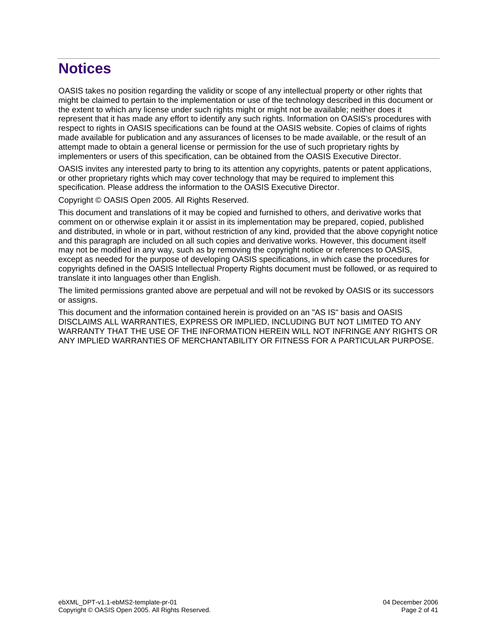# **Notices**

OASIS takes no position regarding the validity or scope of any intellectual property or other rights that might be claimed to pertain to the implementation or use of the technology described in this document or the extent to which any license under such rights might or might not be available; neither does it represent that it has made any effort to identify any such rights. Information on OASIS's procedures with respect to rights in OASIS specifications can be found at the OASIS website. Copies of claims of rights made available for publication and any assurances of licenses to be made available, or the result of an attempt made to obtain a general license or permission for the use of such proprietary rights by implementers or users of this specification, can be obtained from the OASIS Executive Director.

OASIS invites any interested party to bring to its attention any copyrights, patents or patent applications, or other proprietary rights which may cover technology that may be required to implement this specification. Please address the information to the OASIS Executive Director.

Copyright © OASIS Open 2005. All Rights Reserved.

This document and translations of it may be copied and furnished to others, and derivative works that comment on or otherwise explain it or assist in its implementation may be prepared, copied, published and distributed, in whole or in part, without restriction of any kind, provided that the above copyright notice and this paragraph are included on all such copies and derivative works. However, this document itself may not be modified in any way, such as by removing the copyright notice or references to OASIS, except as needed for the purpose of developing OASIS specifications, in which case the procedures for copyrights defined in the OASIS Intellectual Property Rights document must be followed, or as required to translate it into languages other than English.

The limited permissions granted above are perpetual and will not be revoked by OASIS or its successors or assigns.

This document and the information contained herein is provided on an "AS IS" basis and OASIS DISCLAIMS ALL WARRANTIES, EXPRESS OR IMPLIED, INCLUDING BUT NOT LIMITED TO ANY WARRANTY THAT THE USE OF THE INFORMATION HEREIN WILL NOT INFRINGE ANY RIGHTS OR ANY IMPLIED WARRANTIES OF MERCHANTABILITY OR FITNESS FOR A PARTICULAR PURPOSE.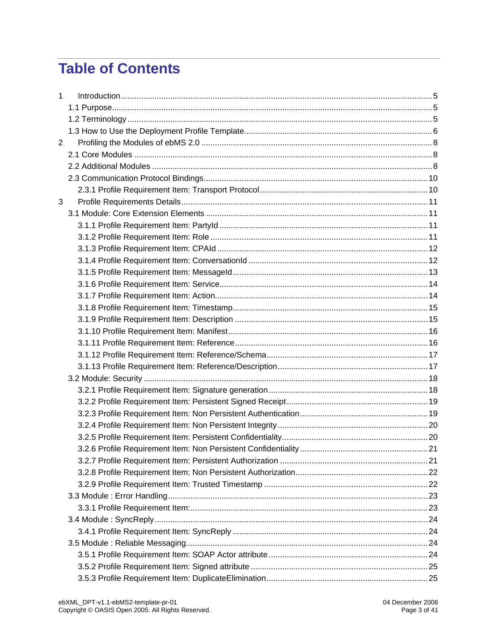# **Table of Contents**

| 1 |  |
|---|--|
|   |  |
|   |  |
|   |  |
| 2 |  |
|   |  |
|   |  |
|   |  |
|   |  |
| 3 |  |
|   |  |
|   |  |
|   |  |
|   |  |
|   |  |
|   |  |
|   |  |
|   |  |
|   |  |
|   |  |
|   |  |
|   |  |
|   |  |
|   |  |
|   |  |
|   |  |
|   |  |
|   |  |
|   |  |
|   |  |
|   |  |
|   |  |
|   |  |
|   |  |
|   |  |
|   |  |
|   |  |
|   |  |
|   |  |
|   |  |
|   |  |
|   |  |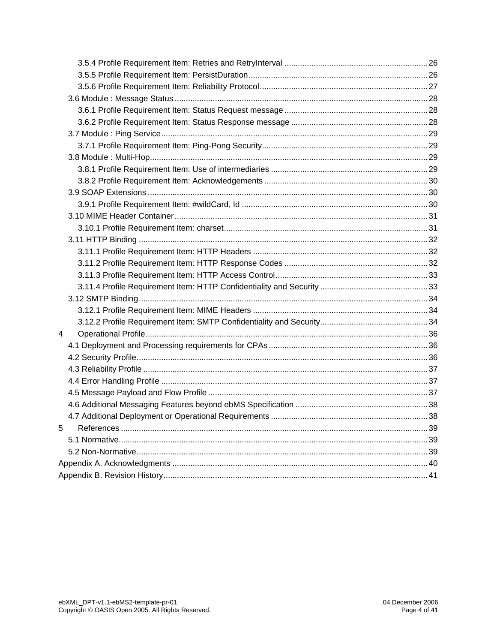| 4 |  |
|---|--|
|   |  |
|   |  |
|   |  |
|   |  |
|   |  |
|   |  |
|   |  |
| 5 |  |
|   |  |
|   |  |
|   |  |
|   |  |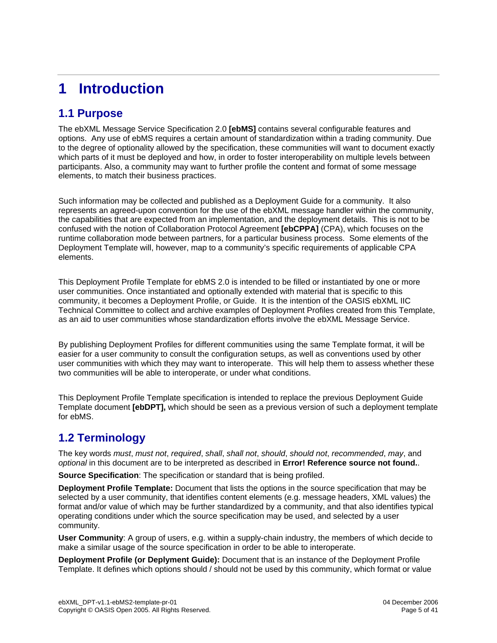# **1 Introduction**

#### **1.1 Purpose**

The ebXML Message Service Specification 2.0 **[ebMS]** contains several configurable features and options. Any use of ebMS requires a certain amount of standardization within a trading community. Due to the degree of optionality allowed by the specification, these communities will want to document exactly which parts of it must be deployed and how, in order to foster interoperability on multiple levels between participants. Also, a community may want to further profile the content and format of some message elements, to match their business practices.

Such information may be collected and published as a Deployment Guide for a community. It also represents an agreed-upon convention for the use of the ebXML message handler within the community, the capabilities that are expected from an implementation, and the deployment details. This is not to be confused with the notion of Collaboration Protocol Agreement **[ebCPPA]** (CPA), which focuses on the runtime collaboration mode between partners, for a particular business process. Some elements of the Deployment Template will, however, map to a community's specific requirements of applicable CPA elements.

This Deployment Profile Template for ebMS 2.0 is intended to be filled or instantiated by one or more user communities. Once instantiated and optionally extended with material that is specific to this community, it becomes a Deployment Profile, or Guide. It is the intention of the OASIS ebXML IIC Technical Committee to collect and archive examples of Deployment Profiles created from this Template, as an aid to user communities whose standardization efforts involve the ebXML Message Service.

By publishing Deployment Profiles for different communities using the same Template format, it will be easier for a user community to consult the configuration setups, as well as conventions used by other user communities with which they may want to interoperate. This will help them to assess whether these two communities will be able to interoperate, or under what conditions.

This Deployment Profile Template specification is intended to replace the previous Deployment Guide Template document **[ebDPT],** which should be seen as a previous version of such a deployment template for ebMS.

#### **1.2 Terminology**

The key words must, must not, required, shall, shall not, should, should not, recommended, may, and optional in this document are to be interpreted as described in **Error! Reference source not found.**.

**Source Specification**: The specification or standard that is being profiled.

**Deployment Profile Template:** Document that lists the options in the source specification that may be selected by a user community, that identifies content elements (e.g. message headers, XML values) the format and/or value of which may be further standardized by a community, and that also identifies typical operating conditions under which the source specification may be used, and selected by a user community.

**User Community**: A group of users, e.g. within a supply-chain industry, the members of which decide to make a similar usage of the source specification in order to be able to interoperate.

**Deployment Profile (or Deplyment Guide):** Document that is an instance of the Deployment Profile Template. It defines which options should / should not be used by this community, which format or value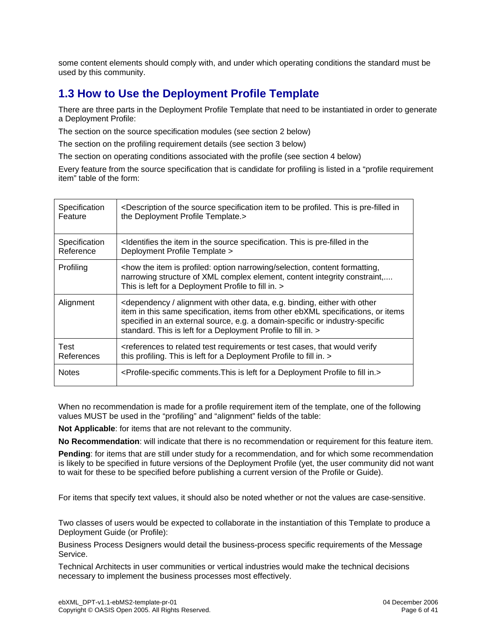some content elements should comply with, and under which operating conditions the standard must be used by this community.

#### **1.3 How to Use the Deployment Profile Template**

There are three parts in the Deployment Profile Template that need to be instantiated in order to generate a Deployment Profile:

The section on the source specification modules (see section 2 below)

The section on the profiling requirement details (see section 3 below)

The section on operating conditions associated with the profile (see section 4 below)

Every feature from the source specification that is candidate for profiling is listed in a "profile requirement item" table of the form:

| Specification | <description be="" in<="" is="" item="" of="" pre-filled="" profiled.="" source="" specification="" th="" the="" this="" to=""></description>                                                                                                                                                                                                    |
|---------------|--------------------------------------------------------------------------------------------------------------------------------------------------------------------------------------------------------------------------------------------------------------------------------------------------------------------------------------------------|
| Feature       | the Deployment Profile Template.>                                                                                                                                                                                                                                                                                                                |
| Specification | <ldentifies in="" is="" item="" pre-filled="" source="" specification.="" td="" the="" the<="" this=""></ldentifies>                                                                                                                                                                                                                             |
| Reference     | Deployment Profile Template >                                                                                                                                                                                                                                                                                                                    |
| Profiling     | <how content="" formatting,<br="" is="" item="" narrowing="" option="" profiled:="" selection,="" the="">narrowing structure of XML complex element, content integrity constraint,<br/>This is left for a Deployment Profile to fill in. &gt;</how>                                                                                              |
| Alignment     | <dependency alignment="" binding,="" data,="" e.g.="" either="" other="" other<br="" with="">item in this same specification, items from other ebXML specifications, or items<br/>specified in an external source, e.g. a domain-specific or industry-specific<br/>standard. This is left for a Deployment Profile to fill in. &gt;</dependency> |
| Test          | <references cases,="" or="" related="" requirements="" td="" test="" that="" to="" verify<="" would=""></references>                                                                                                                                                                                                                             |
| References    | this profiling. This is left for a Deployment Profile to fill in. >                                                                                                                                                                                                                                                                              |
| <b>Notes</b>  | <profile-specific a="" comments.="" deployment="" fill="" for="" in.="" is="" left="" profile="" this="" to=""></profile-specific>                                                                                                                                                                                                               |

When no recommendation is made for a profile requirement item of the template, one of the following values MUST be used in the "profiling" and "alignment" fields of the table:

**Not Applicable**: for items that are not relevant to the community.

**No Recommendation**: will indicate that there is no recommendation or requirement for this feature item.

**Pending**: for items that are still under study for a recommendation, and for which some recommendation is likely to be specified in future versions of the Deployment Profile (yet, the user community did not want to wait for these to be specified before publishing a current version of the Profile or Guide).

For items that specify text values, it should also be noted whether or not the values are case-sensitive.

Two classes of users would be expected to collaborate in the instantiation of this Template to produce a Deployment Guide (or Profile):

Business Process Designers would detail the business-process specific requirements of the Message Service.

Technical Architects in user communities or vertical industries would make the technical decisions necessary to implement the business processes most effectively.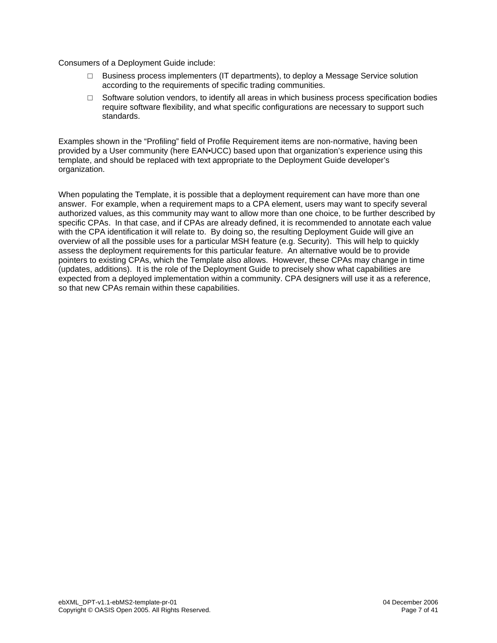Consumers of a Deployment Guide include:

- $\Box$  Business process implementers (IT departments), to deploy a Message Service solution according to the requirements of specific trading communities.
- □ Software solution vendors, to identify all areas in which business process specification bodies require software flexibility, and what specific configurations are necessary to support such standards.

Examples shown in the "Profiling" field of Profile Requirement items are non-normative, having been provided by a User community (here EAN•UCC) based upon that organization's experience using this template, and should be replaced with text appropriate to the Deployment Guide developer's organization.

When populating the Template, it is possible that a deployment requirement can have more than one answer. For example, when a requirement maps to a CPA element, users may want to specify several authorized values, as this community may want to allow more than one choice, to be further described by specific CPAs. In that case, and if CPAs are already defined, it is recommended to annotate each value with the CPA identification it will relate to. By doing so, the resulting Deployment Guide will give an overview of all the possible uses for a particular MSH feature (e.g. Security). This will help to quickly assess the deployment requirements for this particular feature. An alternative would be to provide pointers to existing CPAs, which the Template also allows. However, these CPAs may change in time (updates, additions). It is the role of the Deployment Guide to precisely show what capabilities are expected from a deployed implementation within a community. CPA designers will use it as a reference, so that new CPAs remain within these capabilities.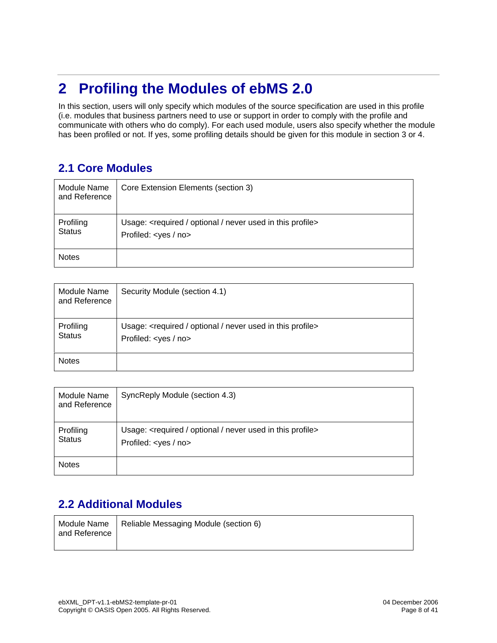# **2 Profiling the Modules of ebMS 2.0**

In this section, users will only specify which modules of the source specification are used in this profile (i.e. modules that business partners need to use or support in order to comply with the profile and communicate with others who do comply). For each used module, users also specify whether the module has been profiled or not. If yes, some profiling details should be given for this module in section 3 or 4.

#### **2.1 Core Modules**

| Module Name<br>and Reference | Core Extension Elements (section 3)                                                                                |
|------------------------------|--------------------------------------------------------------------------------------------------------------------|
| Profiling<br><b>Status</b>   | Usage: <required in="" never="" optional="" profile="" this="" used=""><br/>Profiled: <yes no=""></yes></required> |
| <b>Notes</b>                 |                                                                                                                    |

| Module Name<br>and Reference | Security Module (section 4.1)                                                                                      |
|------------------------------|--------------------------------------------------------------------------------------------------------------------|
| Profiling<br><b>Status</b>   | Usage: <required in="" never="" optional="" profile="" this="" used=""><br/>Profiled: <yes no=""></yes></required> |
| <b>Notes</b>                 |                                                                                                                    |

| Module Name<br>and Reference | SyncReply Module (section 4.3)                                                                                     |
|------------------------------|--------------------------------------------------------------------------------------------------------------------|
| Profiling<br><b>Status</b>   | Usage: <required in="" never="" optional="" profile="" this="" used=""><br/>Profiled: <yes no=""></yes></required> |
| <b>Notes</b>                 |                                                                                                                    |

#### **2.2 Additional Modules**

| l and Reference | Module Name   Reliable Messaging Module (section 6) |
|-----------------|-----------------------------------------------------|
|                 |                                                     |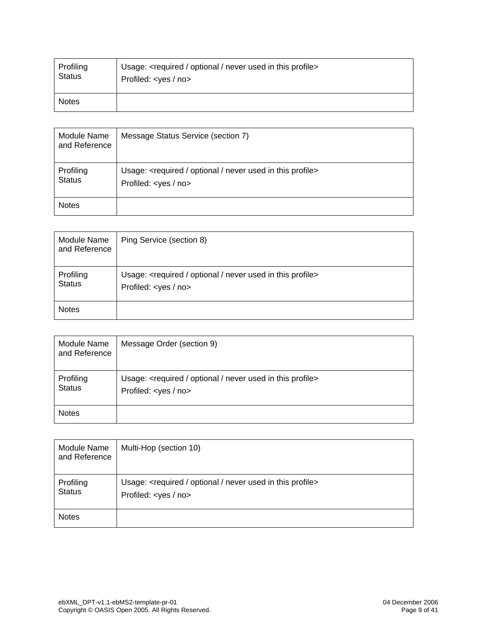| Profiling     | Usage: <required in="" never="" optional="" profile="" this="" used=""></required> |
|---------------|------------------------------------------------------------------------------------|
| <b>Status</b> | Profiled: <yes no=""></yes>                                                        |
| <b>Notes</b>  |                                                                                    |

| <b>Module Name</b><br>and Reference | Message Status Service (section 7)                                                                                 |
|-------------------------------------|--------------------------------------------------------------------------------------------------------------------|
| Profiling<br><b>Status</b>          | Usage: <required in="" never="" optional="" profile="" this="" used=""><br/>Profiled: &lt; yes / no&gt;</required> |
| <b>Notes</b>                        |                                                                                                                    |

| Module Name<br>and Reference | Ping Service (section 8)                                                                                           |
|------------------------------|--------------------------------------------------------------------------------------------------------------------|
| Profiling<br><b>Status</b>   | Usage: <required in="" never="" optional="" profile="" this="" used=""><br/>Profiled: <yes no=""></yes></required> |
| <b>Notes</b>                 |                                                                                                                    |

| Module Name<br>and Reference | Message Order (section 9)                                                                                          |
|------------------------------|--------------------------------------------------------------------------------------------------------------------|
| Profiling<br><b>Status</b>   | Usage: <required in="" never="" optional="" profile="" this="" used=""><br/>Profiled: <yes no=""></yes></required> |
| <b>Notes</b>                 |                                                                                                                    |

| Module Name<br>and Reference | Multi-Hop (section 10)                                                                                             |
|------------------------------|--------------------------------------------------------------------------------------------------------------------|
| Profiling<br><b>Status</b>   | Usage: <required in="" never="" optional="" profile="" this="" used=""><br/>Profiled: <yes no=""></yes></required> |
| <b>Notes</b>                 |                                                                                                                    |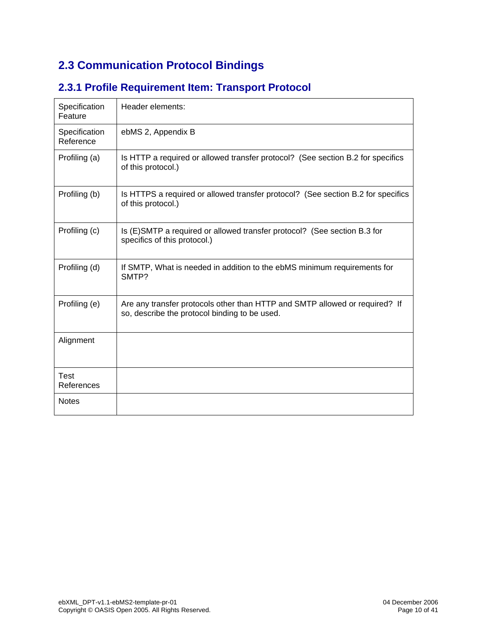### **2.3 Communication Protocol Bindings**

| Specification<br>Feature   | Header elements:                                                                                                             |
|----------------------------|------------------------------------------------------------------------------------------------------------------------------|
| Specification<br>Reference | ebMS 2, Appendix B                                                                                                           |
| Profiling (a)              | Is HTTP a required or allowed transfer protocol? (See section B.2 for specifics<br>of this protocol.)                        |
| Profiling (b)              | Is HTTPS a required or allowed transfer protocol? (See section B.2 for specifics<br>of this protocol.)                       |
| Profiling (c)              | Is (E)SMTP a required or allowed transfer protocol? (See section B.3 for<br>specifics of this protocol.)                     |
| Profiling (d)              | If SMTP, What is needed in addition to the ebMS minimum requirements for<br>SMTP?                                            |
| Profiling (e)              | Are any transfer protocols other than HTTP and SMTP allowed or required? If<br>so, describe the protocol binding to be used. |
| Alignment                  |                                                                                                                              |
| Test<br>References         |                                                                                                                              |
| <b>Notes</b>               |                                                                                                                              |

#### **2.3.1 Profile Requirement Item: Transport Protocol**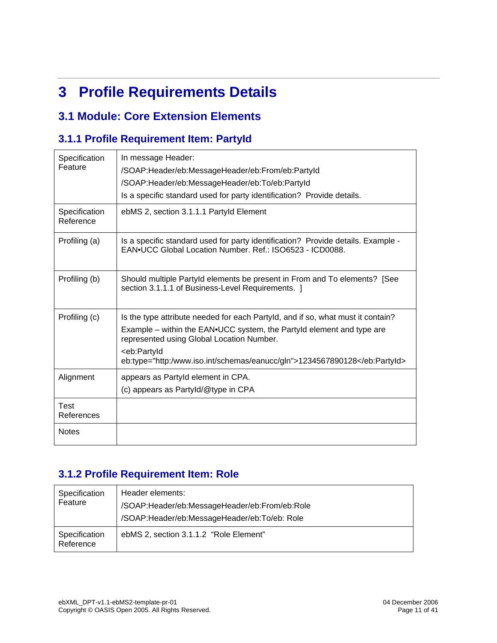# **3 Profile Requirements Details**

#### **3.1 Module: Core Extension Elements**

#### **3.1.1 Profile Requirement Item: PartyId**

| Specification<br>Feature   | In message Header:<br>/SOAP:Header/eb:MessageHeader/eb:From/eb:PartyId<br>/SOAP:Header/eb:MessageHeader/eb:To/eb:PartyId<br>Is a specific standard used for party identification? Provide details.                                                                                                      |
|----------------------------|---------------------------------------------------------------------------------------------------------------------------------------------------------------------------------------------------------------------------------------------------------------------------------------------------------|
| Specification<br>Reference | ebMS 2, section 3.1.1.1 Partyld Element                                                                                                                                                                                                                                                                 |
| Profiling (a)              | Is a specific standard used for party identification? Provide details. Example -<br>EAN.UCC Global Location Number, Ref.: ISO6523 - ICD0088.                                                                                                                                                            |
| Profiling (b)              | Should multiple Partyld elements be present in From and To elements? [See<br>section 3.1.1.1 of Business-Level Requirements. ]                                                                                                                                                                          |
| Profiling (c)              | Is the type attribute needed for each Partyld, and if so, what must it contain?<br>Example – within the EAN.UCC system, the Partyld element and type are<br>represented using Global Location Number.<br><eb:partyid<br>eb:type="http:/www.iso.int/schemas/eanucc/gln"&gt;1234567890128</eb:partyid<br> |
| Alignment                  | appears as Partyld element in CPA.<br>(c) appears as PartyId/@type in CPA                                                                                                                                                                                                                               |
| <b>Test</b><br>References  |                                                                                                                                                                                                                                                                                                         |
| <b>Notes</b>               |                                                                                                                                                                                                                                                                                                         |

#### **3.1.2 Profile Requirement Item: Role**

| Specification<br>Feature   | Header elements:<br>/SOAP:Header/eb:MessageHeader/eb:From/eb:Role<br>/SOAP:Header/eb:MessageHeader/eb:To/eb: Role |
|----------------------------|-------------------------------------------------------------------------------------------------------------------|
| Specification<br>Reference | ebMS 2, section 3.1.1.2 "Role Element"                                                                            |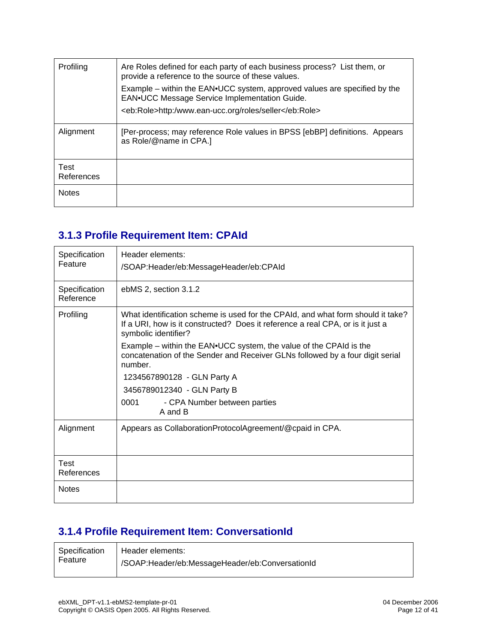| Profiling          | Are Roles defined for each party of each business process? List them, or<br>provide a reference to the source of these values. |
|--------------------|--------------------------------------------------------------------------------------------------------------------------------|
|                    | Example – within the EAN.UCC system, approved values are specified by the<br>EAN.UCC Message Service Implementation Guide.     |
|                    | <eb:role>http:/www.ean-ucc.org/roles/seller</eb:role>                                                                          |
| Alignment          | [Per-process; may reference Role values in BPSS [ebBP] definitions. Appears<br>as Role/@name in CPA.]                          |
| Test<br>References |                                                                                                                                |
| <b>Notes</b>       |                                                                                                                                |

#### **3.1.3 Profile Requirement Item: CPAId**

| Specification<br>Feature   | Header elements:<br>/SOAP:Header/eb:MessageHeader/eb:CPAId                                                                                                                                |
|----------------------------|-------------------------------------------------------------------------------------------------------------------------------------------------------------------------------------------|
| Specification<br>Reference | ebMS 2, section 3.1.2                                                                                                                                                                     |
| Profiling                  | What identification scheme is used for the CPAId, and what form should it take?<br>If a URI, how is it constructed? Does it reference a real CPA, or is it just a<br>symbolic identifier? |
|                            | Example – within the EAN•UCC system, the value of the CPAId is the<br>concatenation of the Sender and Receiver GLNs followed by a four digit serial<br>number.                            |
|                            | 1234567890128 - GLN Party A                                                                                                                                                               |
|                            | 3456789012340 - GLN Party B                                                                                                                                                               |
|                            | 0001<br>- CPA Number between parties<br>A and B                                                                                                                                           |
| Alignment                  | Appears as CollaborationProtocolAgreement/@cpaid in CPA.                                                                                                                                  |
| Test<br>References         |                                                                                                                                                                                           |
| <b>Notes</b>               |                                                                                                                                                                                           |

### **3.1.4 Profile Requirement Item: ConversationId**

| Specification | Header elements:                               |
|---------------|------------------------------------------------|
| Feature       | SOAP:Header/eb:MessageHeader/eb:ConversationId |
|               |                                                |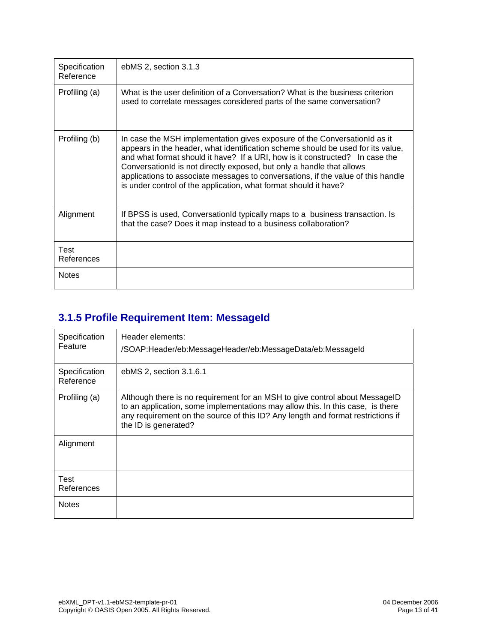| Specification<br>Reference | ebMS 2, section 3.1.3                                                                                                                                                                                                                                                                                                                                                                                                                                                         |
|----------------------------|-------------------------------------------------------------------------------------------------------------------------------------------------------------------------------------------------------------------------------------------------------------------------------------------------------------------------------------------------------------------------------------------------------------------------------------------------------------------------------|
| Profiling (a)              | What is the user definition of a Conversation? What is the business criterion<br>used to correlate messages considered parts of the same conversation?                                                                                                                                                                                                                                                                                                                        |
| Profiling (b)              | In case the MSH implementation gives exposure of the ConversationId as it<br>appears in the header, what identification scheme should be used for its value,<br>and what format should it have? If a URI, how is it constructed? In case the<br>ConversationId is not directly exposed, but only a handle that allows<br>applications to associate messages to conversations, if the value of this handle<br>is under control of the application, what format should it have? |
| Alignment                  | If BPSS is used, ConversationId typically maps to a business transaction. Is<br>that the case? Does it map instead to a business collaboration?                                                                                                                                                                                                                                                                                                                               |
| Test<br>References         |                                                                                                                                                                                                                                                                                                                                                                                                                                                                               |
| <b>Notes</b>               |                                                                                                                                                                                                                                                                                                                                                                                                                                                                               |

### **3.1.5 Profile Requirement Item: MessageId**

| Specification<br>Feature   | Header elements:<br>/SOAP:Header/eb:MessageHeader/eb:MessageData/eb:MessageId                                                                                                                                                                                            |
|----------------------------|--------------------------------------------------------------------------------------------------------------------------------------------------------------------------------------------------------------------------------------------------------------------------|
| Specification<br>Reference | ebMS 2, section 3.1.6.1                                                                                                                                                                                                                                                  |
| Profiling (a)              | Although there is no requirement for an MSH to give control about MessageID<br>to an application, some implementations may allow this. In this case, is there<br>any requirement on the source of this ID? Any length and format restrictions if<br>the ID is generated? |
| Alignment                  |                                                                                                                                                                                                                                                                          |
| <b>Test</b><br>References  |                                                                                                                                                                                                                                                                          |
| <b>Notes</b>               |                                                                                                                                                                                                                                                                          |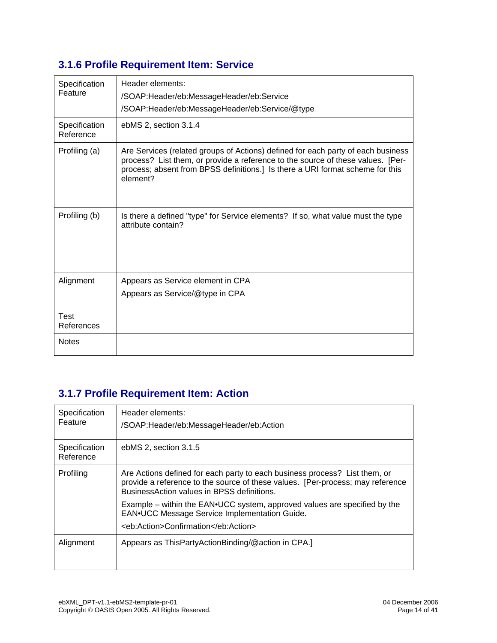### **3.1.6 Profile Requirement Item: Service**

| Specification<br>Feature   | Header elements:<br>/SOAP:Header/eb:MessageHeader/eb:Service<br>/SOAP:Header/eb:MessageHeader/eb:Service/@type                                                                                                                                                   |
|----------------------------|------------------------------------------------------------------------------------------------------------------------------------------------------------------------------------------------------------------------------------------------------------------|
| Specification<br>Reference | ebMS 2, section 3.1.4                                                                                                                                                                                                                                            |
| Profiling (a)              | Are Services (related groups of Actions) defined for each party of each business<br>process? List them, or provide a reference to the source of these values. [Per-<br>process; absent from BPSS definitions.] Is there a URI format scheme for this<br>element? |
| Profiling (b)              | Is there a defined "type" for Service elements? If so, what value must the type<br>attribute contain?                                                                                                                                                            |
| Alignment                  | Appears as Service element in CPA<br>Appears as Service/@type in CPA                                                                                                                                                                                             |
| <b>Test</b><br>References  |                                                                                                                                                                                                                                                                  |
| <b>Notes</b>               |                                                                                                                                                                                                                                                                  |

#### **3.1.7 Profile Requirement Item: Action**

| Specification<br>Feature   | Header elements:<br>/SOAP:Header/eb:MessageHeader/eb:Action                                                                                                                                                 |
|----------------------------|-------------------------------------------------------------------------------------------------------------------------------------------------------------------------------------------------------------|
| Specification<br>Reference | ebMS 2, section 3.1.5                                                                                                                                                                                       |
| Profiling                  | Are Actions defined for each party to each business process? List them, or<br>provide a reference to the source of these values. [Per-process; may reference<br>Business Action values in BPSS definitions. |
|                            | Example – within the $EAN\cdot UCC$ system, approved values are specified by the<br>EAN.UCC Message Service Implementation Guide.                                                                           |
|                            | <eb:action>Confirmation</eb:action>                                                                                                                                                                         |
| Alignment                  | Appears as ThisPartyActionBinding/@action in CPA.]                                                                                                                                                          |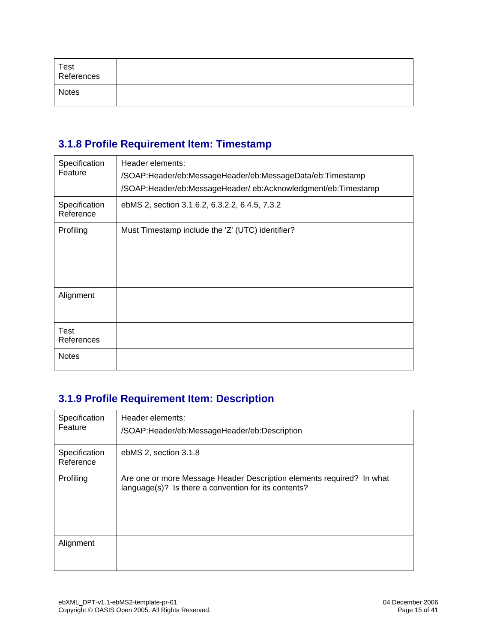| Test<br>References |  |
|--------------------|--|
| <b>Notes</b>       |  |

#### **3.1.8 Profile Requirement Item: Timestamp**

| Specification<br>Feature   | Header elements:<br>/SOAP:Header/eb:MessageHeader/eb:MessageData/eb:Timestamp<br>/SOAP:Header/eb:MessageHeader/eb:Acknowledgment/eb:Timestamp |
|----------------------------|-----------------------------------------------------------------------------------------------------------------------------------------------|
| Specification<br>Reference | ebMS 2, section 3.1.6.2, 6.3.2.2, 6.4.5, 7.3.2                                                                                                |
| Profiling                  | Must Timestamp include the 'Z' (UTC) identifier?                                                                                              |
| Alignment                  |                                                                                                                                               |
| Test<br>References         |                                                                                                                                               |
| <b>Notes</b>               |                                                                                                                                               |

### **3.1.9 Profile Requirement Item: Description**

| Specification<br>Feature   | Header elements:<br>/SOAP:Header/eb:MessageHeader/eb:Description                                                              |
|----------------------------|-------------------------------------------------------------------------------------------------------------------------------|
| Specification<br>Reference | ebMS 2, section 3.1.8                                                                                                         |
| Profiling                  | Are one or more Message Header Description elements required? In what<br>language(s)? Is there a convention for its contents? |
| Alignment                  |                                                                                                                               |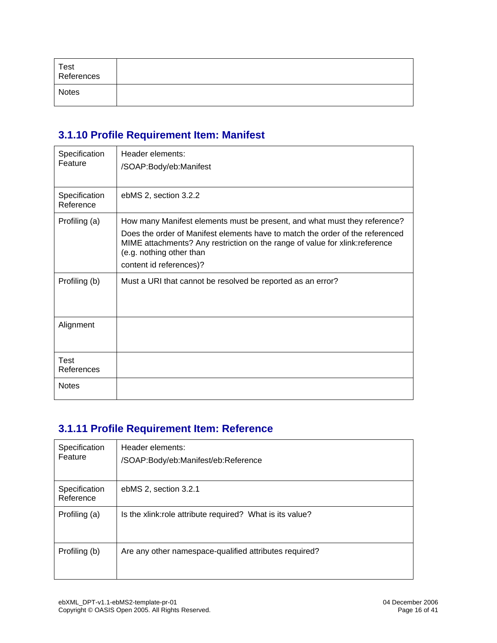| Test<br>References |  |
|--------------------|--|
| <b>Notes</b>       |  |

#### **3.1.10 Profile Requirement Item: Manifest**

| Specification<br>Feature   | Header elements:<br>/SOAP:Body/eb:Manifest                                                                                                                                                                                                                                                        |
|----------------------------|---------------------------------------------------------------------------------------------------------------------------------------------------------------------------------------------------------------------------------------------------------------------------------------------------|
| Specification<br>Reference | ebMS 2, section 3.2.2                                                                                                                                                                                                                                                                             |
| Profiling (a)              | How many Manifest elements must be present, and what must they reference?<br>Does the order of Manifest elements have to match the order of the referenced<br>MIME attachments? Any restriction on the range of value for xlink: reference<br>(e.g. nothing other than<br>content id references)? |
| Profiling (b)              | Must a URI that cannot be resolved be reported as an error?                                                                                                                                                                                                                                       |
| Alignment                  |                                                                                                                                                                                                                                                                                                   |
| Test<br>References         |                                                                                                                                                                                                                                                                                                   |
| <b>Notes</b>               |                                                                                                                                                                                                                                                                                                   |

#### **3.1.11 Profile Requirement Item: Reference**

| Specification<br>Feature   | Header elements:<br>/SOAP:Body/eb:Manifest/eb:Reference   |
|----------------------------|-----------------------------------------------------------|
| Specification<br>Reference | ebMS 2, section 3.2.1                                     |
| Profiling (a)              | Is the xlink: role attribute required? What is its value? |
| Profiling (b)              | Are any other namespace-qualified attributes required?    |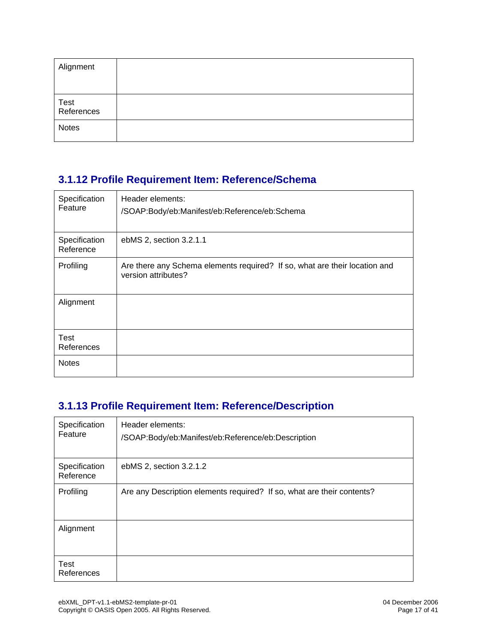| Alignment                       |  |
|---------------------------------|--|
|                                 |  |
| <sup>l</sup> Test<br>References |  |
| <b>Notes</b>                    |  |

#### **3.1.12 Profile Requirement Item: Reference/Schema**

| Specification<br>Feature   | Header elements:<br>/SOAP:Body/eb:Manifest/eb:Reference/eb:Schema                                 |
|----------------------------|---------------------------------------------------------------------------------------------------|
| Specification<br>Reference | ebMS 2, section 3.2.1.1                                                                           |
| Profiling                  | Are there any Schema elements required? If so, what are their location and<br>version attributes? |
| Alignment                  |                                                                                                   |
| <b>Test</b><br>References  |                                                                                                   |
| <b>Notes</b>               |                                                                                                   |

#### **3.1.13 Profile Requirement Item: Reference/Description**

| Specification<br>Feature   | Header elements:<br>/SOAP:Body/eb:Manifest/eb:Reference/eb:Description |
|----------------------------|------------------------------------------------------------------------|
| Specification<br>Reference | ebMS 2, section 3.2.1.2                                                |
| Profiling                  | Are any Description elements required? If so, what are their contents? |
| Alignment                  |                                                                        |
| <b>Test</b><br>References  |                                                                        |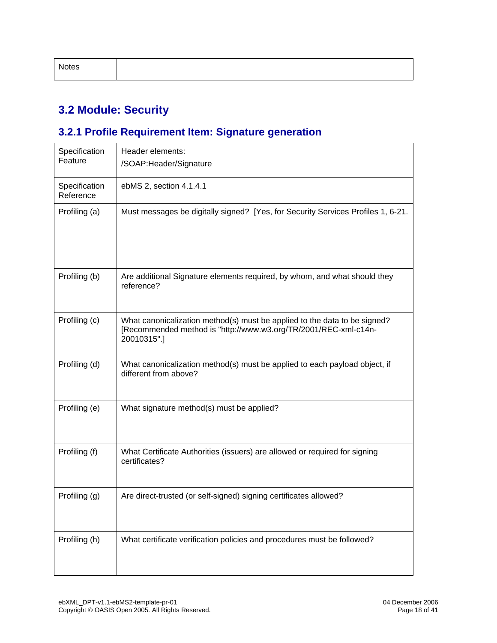| Notes |
|-------|
|-------|

### **3.2 Module: Security**

### **3.2.1 Profile Requirement Item: Signature generation**

| Specification<br>Feature   | Header elements:<br>/SOAP: Header/Signature                                                                                                                 |
|----------------------------|-------------------------------------------------------------------------------------------------------------------------------------------------------------|
| Specification<br>Reference | ebMS 2, section 4.1.4.1                                                                                                                                     |
| Profiling (a)              | Must messages be digitally signed? [Yes, for Security Services Profiles 1, 6-21.                                                                            |
| Profiling (b)              | Are additional Signature elements required, by whom, and what should they<br>reference?                                                                     |
| Profiling (c)              | What canonicalization method(s) must be applied to the data to be signed?<br>[Recommended method is "http://www.w3.org/TR/2001/REC-xml-c14n-<br>20010315".] |
| Profiling (d)              | What canonicalization method(s) must be applied to each payload object, if<br>different from above?                                                         |
| Profiling (e)              | What signature method(s) must be applied?                                                                                                                   |
| Profiling (f)              | What Certificate Authorities (issuers) are allowed or required for signing<br>certificates?                                                                 |
| Profiling (g)              | Are direct-trusted (or self-signed) signing certificates allowed?                                                                                           |
| Profiling (h)              | What certificate verification policies and procedures must be followed?                                                                                     |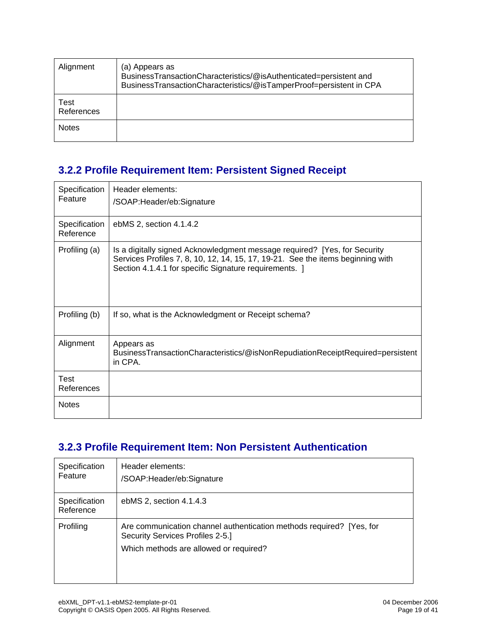| Alignment          | (a) Appears as<br>BusinessTransactionCharacteristics/@isAuthenticated=persistent and<br>BusinessTransactionCharacteristics/@isTamperProof=persistent in CPA |
|--------------------|-------------------------------------------------------------------------------------------------------------------------------------------------------------|
| Test<br>References |                                                                                                                                                             |
| <b>Notes</b>       |                                                                                                                                                             |

#### **3.2.2 Profile Requirement Item: Persistent Signed Receipt**

| Specification<br>Feature   | Header elements:<br>/SOAP:Header/eb:Signature                                                                                                                                                                          |
|----------------------------|------------------------------------------------------------------------------------------------------------------------------------------------------------------------------------------------------------------------|
| Specification<br>Reference | ebMS 2, section 4.1.4.2                                                                                                                                                                                                |
| Profiling (a)              | Is a digitally signed Acknowledgment message required? [Yes, for Security<br>Services Profiles 7, 8, 10, 12, 14, 15, 17, 19-21. See the items beginning with<br>Section 4.1.4.1 for specific Signature requirements. 1 |
| Profiling (b)              | If so, what is the Acknowledgment or Receipt schema?                                                                                                                                                                   |
| Alignment                  | Appears as<br>BusinessTransactionCharacteristics/@isNonRepudiationReceiptRequired=persistent<br>in CPA.                                                                                                                |
| Test<br>References         |                                                                                                                                                                                                                        |
| <b>Notes</b>               |                                                                                                                                                                                                                        |

#### **3.2.3 Profile Requirement Item: Non Persistent Authentication**

| Specification<br>Feature   | Header elements:<br>/SOAP: Header/eb: Signature                                                                                                    |
|----------------------------|----------------------------------------------------------------------------------------------------------------------------------------------------|
| Specification<br>Reference | ebMS 2, section 4.1.4.3                                                                                                                            |
| Profiling                  | Are communication channel authentication methods required? [Yes, for<br>Security Services Profiles 2-5.]<br>Which methods are allowed or required? |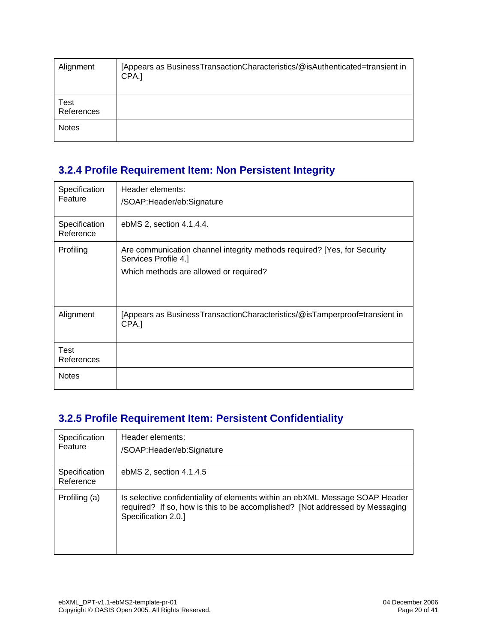| Alignment          | [Appears as BusinessTransactionCharacteristics/@isAuthenticated=transient in<br>CPA.] |
|--------------------|---------------------------------------------------------------------------------------|
| Test<br>References |                                                                                       |
| <b>Notes</b>       |                                                                                       |

#### **3.2.4 Profile Requirement Item: Non Persistent Integrity**

| Specification<br>Feature   | Header elements:<br>/SOAP:Header/eb:Signature                                                                                              |
|----------------------------|--------------------------------------------------------------------------------------------------------------------------------------------|
| Specification<br>Reference | ebMS 2, section 4.1.4.4.                                                                                                                   |
| Profiling                  | Are communication channel integrity methods required? [Yes, for Security<br>Services Profile 4.]<br>Which methods are allowed or required? |
| Alignment                  | [Appears as BusinessTransactionCharacteristics/@isTamperproof=transient in<br>CPA.]                                                        |
| Test<br>References         |                                                                                                                                            |
| <b>Notes</b>               |                                                                                                                                            |

#### **3.2.5 Profile Requirement Item: Persistent Confidentiality**

| Specification<br>Feature   | Header elements:<br>/SOAP:Header/eb:Signature                                                                                                                                       |
|----------------------------|-------------------------------------------------------------------------------------------------------------------------------------------------------------------------------------|
| Specification<br>Reference | ebMS 2, section 4.1.4.5                                                                                                                                                             |
| Profiling (a)              | Is selective confidentiality of elements within an ebXML Message SOAP Header<br>required? If so, how is this to be accomplished? [Not addressed by Messaging<br>Specification 2.0.] |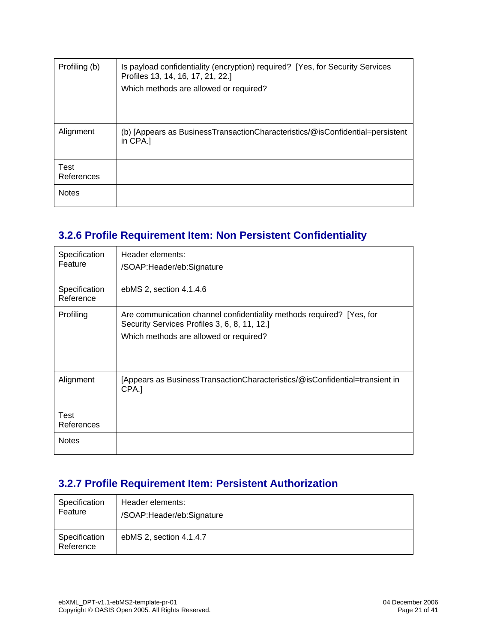| Profiling (b)             | Is payload confidentiality (encryption) required? [Yes, for Security Services<br>Profiles 13, 14, 16, 17, 21, 22.] |  |
|---------------------------|--------------------------------------------------------------------------------------------------------------------|--|
|                           | Which methods are allowed or required?                                                                             |  |
|                           |                                                                                                                    |  |
| Alignment                 | (b) [Appears as BusinessTransactionCharacteristics/@isConfidential=persistent<br>in CPA.1                          |  |
| <b>Test</b><br>References |                                                                                                                    |  |
| <b>Notes</b>              |                                                                                                                    |  |

#### **3.2.6 Profile Requirement Item: Non Persistent Confidentiality**

| Specification<br>Feature   | Header elements:<br>/SOAP: Header/eb: Signature                                                                                                                 |
|----------------------------|-----------------------------------------------------------------------------------------------------------------------------------------------------------------|
| Specification<br>Reference | ebMS 2, section 4.1.4.6                                                                                                                                         |
| Profiling                  | Are communication channel confidentiality methods required? [Yes, for<br>Security Services Profiles 3, 6, 8, 11, 12.]<br>Which methods are allowed or required? |
| Alignment                  | [Appears as BusinessTransactionCharacteristics/@isConfidential=transient in<br>CPA.]                                                                            |
| Test<br>References         |                                                                                                                                                                 |
| <b>Notes</b>               |                                                                                                                                                                 |

#### **3.2.7 Profile Requirement Item: Persistent Authorization**

| Specification              | Header elements:            |
|----------------------------|-----------------------------|
| Feature                    | /SOAP: Header/eb: Signature |
| Specification<br>Reference | ebMS 2, section 4.1.4.7     |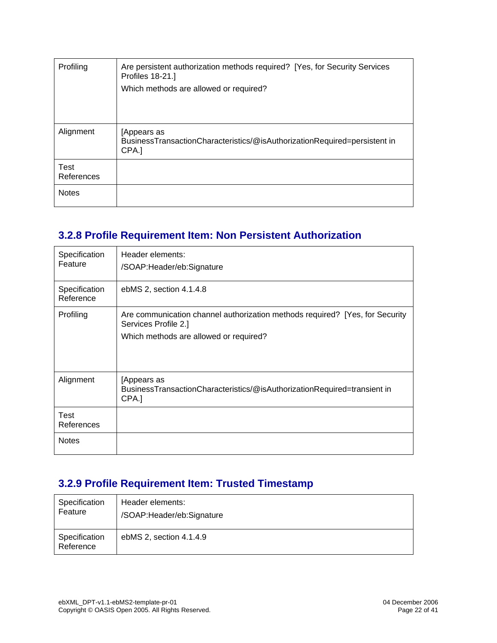| Profiling                 | Are persistent authorization methods required? [Yes, for Security Services<br><b>Profiles 18-21.]</b> |
|---------------------------|-------------------------------------------------------------------------------------------------------|
|                           | Which methods are allowed or required?                                                                |
|                           |                                                                                                       |
|                           |                                                                                                       |
| Alignment                 | Appears as<br>BusinessTransactionCharacteristics/@isAuthorizationRequired=persistent in<br>CPA.]      |
| <b>Test</b><br>References |                                                                                                       |
| <b>Notes</b>              |                                                                                                       |

#### **3.2.8 Profile Requirement Item: Non Persistent Authorization**

| Specification<br>Feature   | Header elements:<br>/SOAP: Header/eb: Signature                                                                                                |
|----------------------------|------------------------------------------------------------------------------------------------------------------------------------------------|
| Specification<br>Reference | ebMS 2, section 4.1.4.8                                                                                                                        |
| Profiling                  | Are communication channel authorization methods required? [Yes, for Security<br>Services Profile 2.]<br>Which methods are allowed or required? |
| Alignment                  | [Appears as<br>BusinessTransactionCharacteristics/@isAuthorizationRequired=transient in<br>CPA.]                                               |
| <b>Test</b><br>References  |                                                                                                                                                |
| <b>Notes</b>               |                                                                                                                                                |

#### **3.2.9 Profile Requirement Item: Trusted Timestamp**

| Specification              | Header elements:            |
|----------------------------|-----------------------------|
| Feature                    | /SOAP: Header/eb: Signature |
| Specification<br>Reference | ebMS 2, section 4.1.4.9     |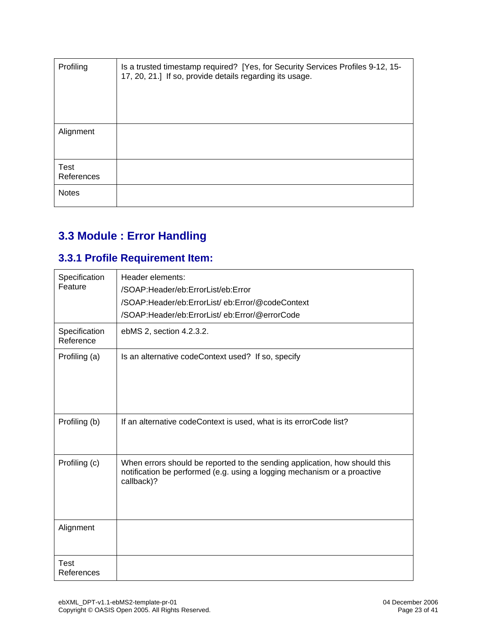| Profiling                 | Is a trusted timestamp required? [Yes, for Security Services Profiles 9-12, 15-<br>17, 20, 21.] If so, provide details regarding its usage. |
|---------------------------|---------------------------------------------------------------------------------------------------------------------------------------------|
| Alignment                 |                                                                                                                                             |
| <b>Test</b><br>References |                                                                                                                                             |
| <b>Notes</b>              |                                                                                                                                             |

# **3.3 Module : Error Handling**

#### **3.3.1 Profile Requirement Item:**

| Specification<br>Feature   | Header elements:<br>/SOAP:Header/eb:ErrorList/eb:Error<br>/SOAP:Header/eb:ErrorList/eb:Error/@codeContext<br>/SOAP:Header/eb:ErrorList/eb:Error/@errorCode           |
|----------------------------|----------------------------------------------------------------------------------------------------------------------------------------------------------------------|
| Specification<br>Reference | ebMS 2, section 4.2.3.2.                                                                                                                                             |
| Profiling (a)              | Is an alternative codeContext used? If so, specify                                                                                                                   |
| Profiling (b)              | If an alternative codeContext is used, what is its errorCode list?                                                                                                   |
| Profiling (c)              | When errors should be reported to the sending application, how should this<br>notification be performed (e.g. using a logging mechanism or a proactive<br>callback)? |
| Alignment                  |                                                                                                                                                                      |
| Test<br>References         |                                                                                                                                                                      |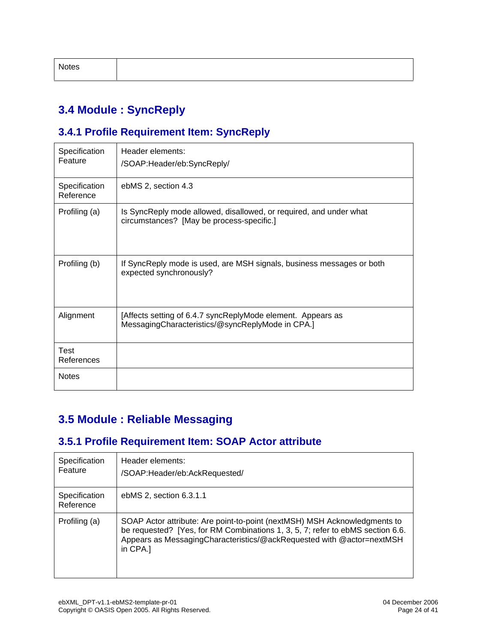| Notes |  |  |
|-------|--|--|
|       |  |  |

#### **3.4 Module : SyncReply**

#### **3.4.1 Profile Requirement Item: SyncReply**

| Specification<br>Feature   | Header elements:<br>/SOAP:Header/eb:SyncReply/                                                                  |
|----------------------------|-----------------------------------------------------------------------------------------------------------------|
| Specification<br>Reference | ebMS 2, section 4.3                                                                                             |
| Profiling (a)              | Is SyncReply mode allowed, disallowed, or required, and under what<br>circumstances? [May be process-specific.] |
| Profiling (b)              | If SyncReply mode is used, are MSH signals, business messages or both<br>expected synchronously?                |
| Alignment                  | [Affects setting of 6.4.7 syncReplyMode element. Appears as<br>MessagingCharacteristics/@syncReplyMode in CPA.] |
| <b>Test</b><br>References  |                                                                                                                 |
| <b>Notes</b>               |                                                                                                                 |

#### **3.5 Module : Reliable Messaging**

#### **3.5.1 Profile Requirement Item: SOAP Actor attribute**

| Specification<br>Feature   | Header elements:<br>/SOAP:Header/eb:AckRequested/                                                                                                                                                                                                   |
|----------------------------|-----------------------------------------------------------------------------------------------------------------------------------------------------------------------------------------------------------------------------------------------------|
| Specification<br>Reference | ebMS 2, section 6.3.1.1                                                                                                                                                                                                                             |
| Profiling (a)              | SOAP Actor attribute: Are point-to-point (nextMSH) MSH Acknowledgments to<br>be requested? [Yes, for RM Combinations 1, 3, 5, 7; refer to ebMS section 6.6.<br>Appears as Messaging Characteristics/@ack Requested with @actor=next MSH<br>in CPA.] |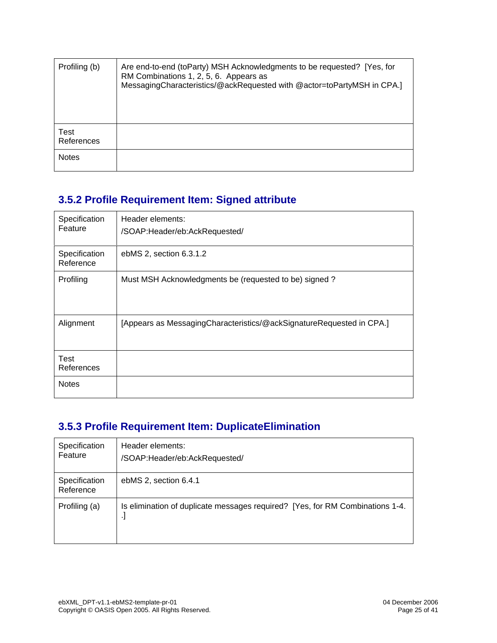| Profiling (b)      | Are end-to-end (toParty) MSH Acknowledgments to be requested? [Yes, for<br>RM Combinations 1, 2, 5, 6. Appears as<br>MessagingCharacteristics/@ackRequested with @actor=toPartyMSH in CPA.] |
|--------------------|---------------------------------------------------------------------------------------------------------------------------------------------------------------------------------------------|
| Test<br>References |                                                                                                                                                                                             |
| <b>Notes</b>       |                                                                                                                                                                                             |

#### **3.5.2 Profile Requirement Item: Signed attribute**

| Specification<br>Feature   | Header elements:<br>/SOAP:Header/eb:AckRequested/                      |
|----------------------------|------------------------------------------------------------------------|
| Specification<br>Reference | ebMS 2, section 6.3.1.2                                                |
| Profiling                  | Must MSH Acknowledgments be (requested to be) signed?                  |
| Alignment                  | [Appears as Messaging Characteristics/@ackSignature Requested in CPA.] |
| Test<br>References         |                                                                        |
| <b>Notes</b>               |                                                                        |

#### **3.5.3 Profile Requirement Item: DuplicateElimination**

| Specification<br>Feature   | Header elements:<br>/SOAP:Header/eb:AckRequested/                                  |
|----------------------------|------------------------------------------------------------------------------------|
| Specification<br>Reference | ebMS 2, section 6.4.1                                                              |
| Profiling (a)              | Is elimination of duplicate messages required? [Yes, for RM Combinations 1-4.<br>ŀ |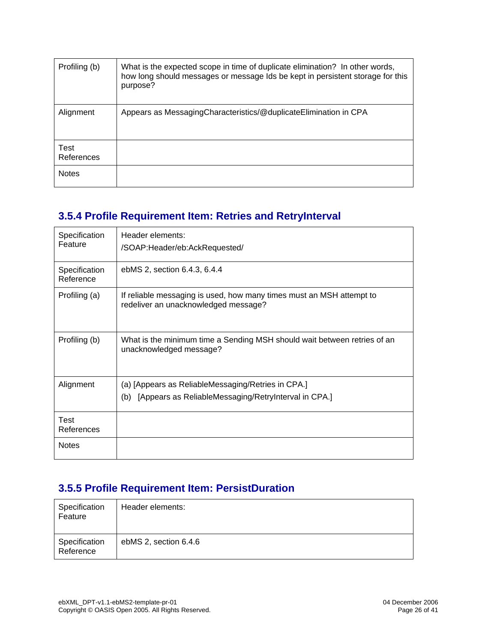| Profiling (b)      | What is the expected scope in time of duplicate elimination? In other words,<br>how long should messages or message Ids be kept in persistent storage for this<br>purpose? |
|--------------------|----------------------------------------------------------------------------------------------------------------------------------------------------------------------------|
| Alignment          | Appears as Messaging Characteristics/@duplicate Elimination in CPA                                                                                                         |
| Test<br>References |                                                                                                                                                                            |
| <b>Notes</b>       |                                                                                                                                                                            |

#### **3.5.4 Profile Requirement Item: Retries and RetryInterval**

| Specification<br>Feature   | Header elements:<br>/SOAP:Header/eb:AckRequested/                                                            |
|----------------------------|--------------------------------------------------------------------------------------------------------------|
| Specification<br>Reference | ebMS 2, section 6.4.3, 6.4.4                                                                                 |
| Profiling (a)              | If reliable messaging is used, how many times must an MSH attempt to<br>redeliver an unacknowledged message? |
| Profiling (b)              | What is the minimum time a Sending MSH should wait between retries of an<br>unacknowledged message?          |
| Alignment                  | (a) [Appears as ReliableMessaging/Retries in CPA.]                                                           |
|                            | [Appears as ReliableMessaging/RetryInterval in CPA.]<br>(b)                                                  |
| Test<br>References         |                                                                                                              |
| <b>Notes</b>               |                                                                                                              |

#### **3.5.5 Profile Requirement Item: PersistDuration**

| Specification<br>Feature   | Header elements:      |
|----------------------------|-----------------------|
| Specification<br>Reference | ebMS 2, section 6.4.6 |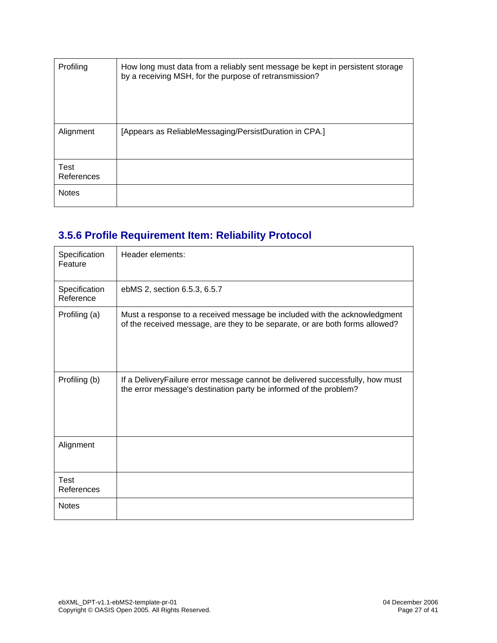| Profiling          | How long must data from a reliably sent message be kept in persistent storage<br>by a receiving MSH, for the purpose of retransmission? |
|--------------------|-----------------------------------------------------------------------------------------------------------------------------------------|
| Alignment          | [Appears as ReliableMessaging/PersistDuration in CPA.]                                                                                  |
| Test<br>References |                                                                                                                                         |
| <b>Notes</b>       |                                                                                                                                         |

### **3.5.6 Profile Requirement Item: Reliability Protocol**

| Specification<br>Feature   | Header elements:                                                                                                                                          |
|----------------------------|-----------------------------------------------------------------------------------------------------------------------------------------------------------|
| Specification<br>Reference | ebMS 2, section 6.5.3, 6.5.7                                                                                                                              |
| Profiling (a)              | Must a response to a received message be included with the acknowledgment<br>of the received message, are they to be separate, or are both forms allowed? |
| Profiling (b)              | If a DeliveryFailure error message cannot be delivered successfully, how must<br>the error message's destination party be informed of the problem?        |
| Alignment                  |                                                                                                                                                           |
| Test<br>References         |                                                                                                                                                           |
| <b>Notes</b>               |                                                                                                                                                           |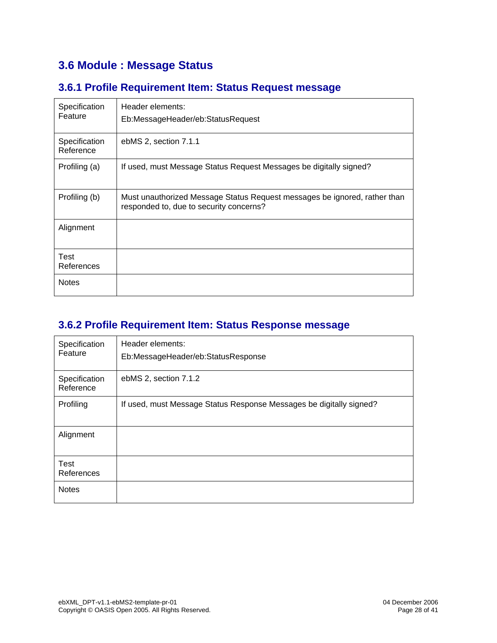#### **3.6 Module : Message Status**

#### **3.6.1 Profile Requirement Item: Status Request message**

| Specification<br>Feature   | Header elements:<br>Eb:MessageHeader/eb:StatusRequest                                                                |
|----------------------------|----------------------------------------------------------------------------------------------------------------------|
| Specification<br>Reference | ebMS 2, section 7.1.1                                                                                                |
| Profiling (a)              | If used, must Message Status Request Messages be digitally signed?                                                   |
| Profiling (b)              | Must unauthorized Message Status Request messages be ignored, rather than<br>responded to, due to security concerns? |
| Alignment                  |                                                                                                                      |
| Test<br>References         |                                                                                                                      |
| <b>Notes</b>               |                                                                                                                      |

#### **3.6.2 Profile Requirement Item: Status Response message**

| Specification<br>Feature   | Header elements:<br>Eb:MessageHeader/eb:StatusResponse              |
|----------------------------|---------------------------------------------------------------------|
| Specification<br>Reference | ebMS 2, section 7.1.2                                               |
| Profiling                  | If used, must Message Status Response Messages be digitally signed? |
| Alignment                  |                                                                     |
| <b>Test</b><br>References  |                                                                     |
| <b>Notes</b>               |                                                                     |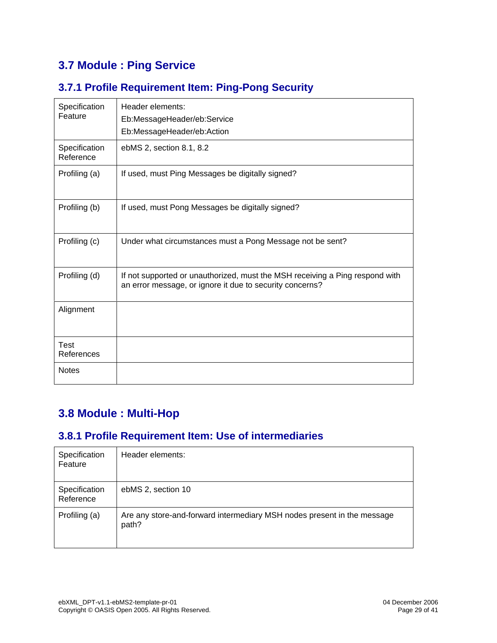### **3.7 Module : Ping Service**

#### **3.7.1 Profile Requirement Item: Ping-Pong Security**

| Specification<br>Feature   | Header elements:                                                                                                                         |
|----------------------------|------------------------------------------------------------------------------------------------------------------------------------------|
|                            | Eb:MessageHeader/eb:Service                                                                                                              |
|                            | Eb:MessageHeader/eb:Action                                                                                                               |
| Specification<br>Reference | ebMS 2, section 8.1, 8.2                                                                                                                 |
| Profiling (a)              | If used, must Ping Messages be digitally signed?                                                                                         |
| Profiling (b)              | If used, must Pong Messages be digitally signed?                                                                                         |
| Profiling (c)              | Under what circumstances must a Pong Message not be sent?                                                                                |
| Profiling (d)              | If not supported or unauthorized, must the MSH receiving a Ping respond with<br>an error message, or ignore it due to security concerns? |
| Alignment                  |                                                                                                                                          |
| <b>Test</b><br>References  |                                                                                                                                          |
| <b>Notes</b>               |                                                                                                                                          |

#### **3.8 Module : Multi-Hop**

#### **3.8.1 Profile Requirement Item: Use of intermediaries**

| Specification<br>Feature   | Header elements:                                                                 |
|----------------------------|----------------------------------------------------------------------------------|
| Specification<br>Reference | ebMS 2, section 10                                                               |
| Profiling (a)              | Are any store-and-forward intermediary MSH nodes present in the message<br>path? |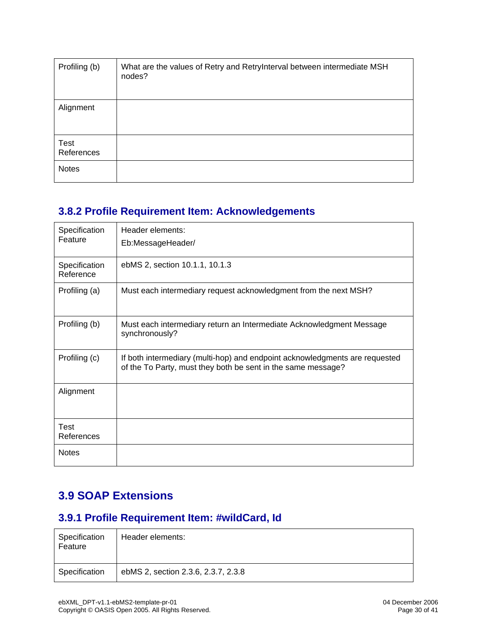| Profiling (b)      | What are the values of Retry and RetryInterval between intermediate MSH<br>nodes? |
|--------------------|-----------------------------------------------------------------------------------|
| Alignment          |                                                                                   |
| Test<br>References |                                                                                   |
| <b>Notes</b>       |                                                                                   |

#### **3.8.2 Profile Requirement Item: Acknowledgements**

| Specification<br>Feature   | Header elements:<br>Eb:MessageHeader/                                                                                                       |
|----------------------------|---------------------------------------------------------------------------------------------------------------------------------------------|
| Specification<br>Reference | ebMS 2, section 10.1.1, 10.1.3                                                                                                              |
| Profiling (a)              | Must each intermediary request acknowledgment from the next MSH?                                                                            |
| Profiling (b)              | Must each intermediary return an Intermediate Acknowledgment Message<br>synchronously?                                                      |
| Profiling (c)              | If both intermediary (multi-hop) and endpoint acknowledgments are requested<br>of the To Party, must they both be sent in the same message? |
| Alignment                  |                                                                                                                                             |
| <b>Test</b><br>References  |                                                                                                                                             |
| <b>Notes</b>               |                                                                                                                                             |

#### **3.9 SOAP Extensions**

#### **3.9.1 Profile Requirement Item: #wildCard, Id**

| Specification<br>Feature | Header elements:                    |
|--------------------------|-------------------------------------|
| Specification            | ebMS 2, section 2.3.6, 2.3.7, 2.3.8 |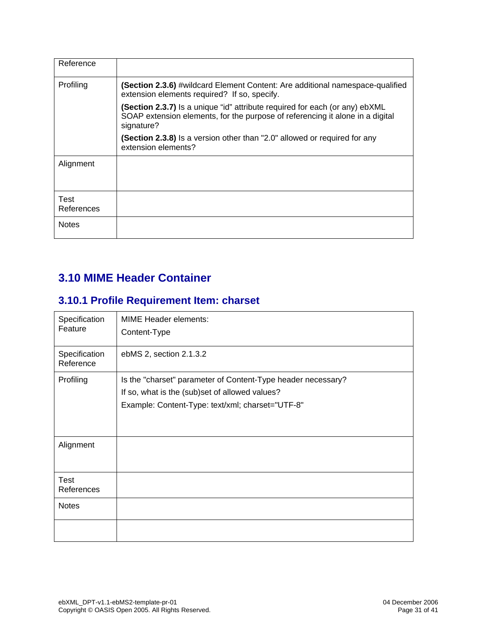| Reference          |                                                                                                                                                                            |
|--------------------|----------------------------------------------------------------------------------------------------------------------------------------------------------------------------|
| Profiling          | <b>(Section 2.3.6)</b> #wildcard Element Content: Are additional namespace-qualified<br>extension elements required? If so, specify.                                       |
|                    | (Section 2.3.7) Is a unique "id" attribute required for each (or any) ebXML<br>SOAP extension elements, for the purpose of referencing it alone in a digital<br>signature? |
|                    | (Section 2.3.8) Is a version other than "2.0" allowed or required for any<br>extension elements?                                                                           |
| Alignment          |                                                                                                                                                                            |
| Test<br>References |                                                                                                                                                                            |
| <b>Notes</b>       |                                                                                                                                                                            |

#### **3.10 MIME Header Container**

#### **3.10.1 Profile Requirement Item: charset**

| Specification<br>Feature   | <b>MIME Header elements:</b><br>Content-Type                                                                                                                       |
|----------------------------|--------------------------------------------------------------------------------------------------------------------------------------------------------------------|
| Specification<br>Reference | ebMS 2, section 2.1.3.2                                                                                                                                            |
| Profiling                  | Is the "charset" parameter of Content-Type header necessary?<br>If so, what is the (sub)set of allowed values?<br>Example: Content-Type: text/xml; charset="UTF-8" |
| Alignment                  |                                                                                                                                                                    |
| Test<br>References         |                                                                                                                                                                    |
| <b>Notes</b>               |                                                                                                                                                                    |
|                            |                                                                                                                                                                    |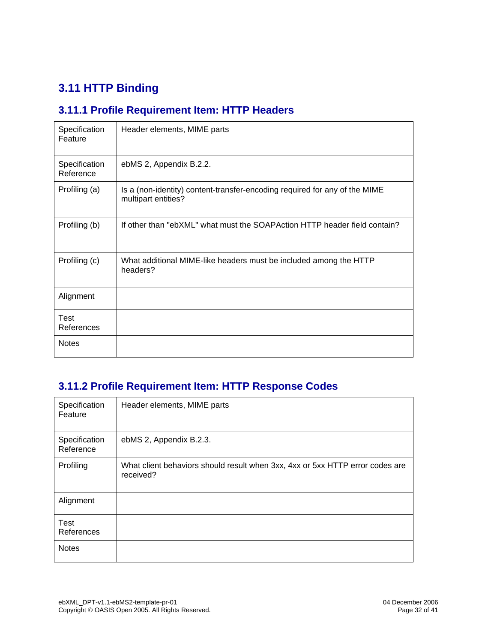### **3.11 HTTP Binding**

#### **3.11.1 Profile Requirement Item: HTTP Headers**

| Specification<br>Feature   | Header elements, MIME parts                                                                       |
|----------------------------|---------------------------------------------------------------------------------------------------|
| Specification<br>Reference | ebMS 2, Appendix B.2.2.                                                                           |
| Profiling (a)              | Is a (non-identity) content-transfer-encoding required for any of the MIME<br>multipart entities? |
| Profiling (b)              | If other than "ebXML" what must the SOAPAction HTTP header field contain?                         |
| Profiling (c)              | What additional MIME-like headers must be included among the HTTP<br>headers?                     |
| Alignment                  |                                                                                                   |
| Test<br>References         |                                                                                                   |
| <b>Notes</b>               |                                                                                                   |

#### **3.11.2 Profile Requirement Item: HTTP Response Codes**

| Specification<br>Feature   | Header elements, MIME parts                                                                |
|----------------------------|--------------------------------------------------------------------------------------------|
| Specification<br>Reference | ebMS 2, Appendix B.2.3.                                                                    |
| Profiling                  | What client behaviors should result when 3xx, 4xx or 5xx HTTP error codes are<br>received? |
| Alignment                  |                                                                                            |
| <b>Test</b><br>References  |                                                                                            |
| <b>Notes</b>               |                                                                                            |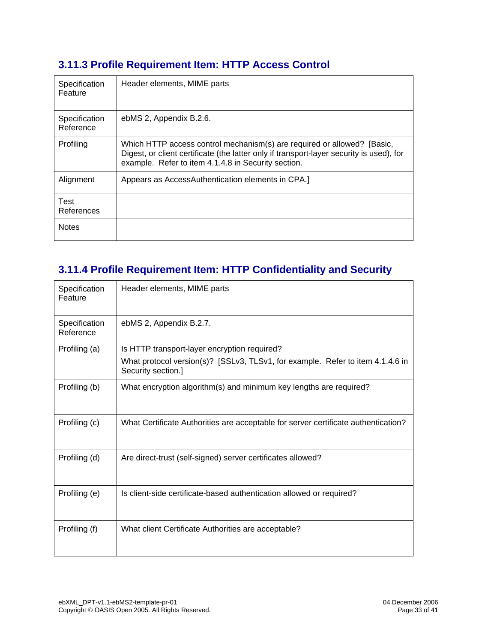#### **3.11.3 Profile Requirement Item: HTTP Access Control**

| Specification<br>Feature   | Header elements, MIME parts                                                                                                                                                                                                |
|----------------------------|----------------------------------------------------------------------------------------------------------------------------------------------------------------------------------------------------------------------------|
| Specification<br>Reference | ebMS 2, Appendix B.2.6.                                                                                                                                                                                                    |
| Profiling                  | Which HTTP access control mechanism(s) are required or allowed? [Basic,<br>Digest, or client certificate (the latter only if transport-layer security is used), for<br>example. Refer to item 4.1.4.8 in Security section. |
| Alignment                  | Appears as AccessAuthentication elements in CPA.]                                                                                                                                                                          |
| Test<br>References         |                                                                                                                                                                                                                            |
| <b>Notes</b>               |                                                                                                                                                                                                                            |

#### **3.11.4 Profile Requirement Item: HTTP Confidentiality and Security**

| Specification<br>Feature   | Header elements, MIME parts                                                                          |
|----------------------------|------------------------------------------------------------------------------------------------------|
| Specification<br>Reference | ebMS 2, Appendix B.2.7.                                                                              |
| Profiling (a)              | Is HTTP transport-layer encryption required?                                                         |
|                            | What protocol version(s)? [SSLv3, TLSv1, for example. Refer to item 4.1.4.6 in<br>Security section.] |
| Profiling (b)              | What encryption algorithm(s) and minimum key lengths are required?                                   |
| Profiling (c)              | What Certificate Authorities are acceptable for server certificate authentication?                   |
| Profiling (d)              | Are direct-trust (self-signed) server certificates allowed?                                          |
| Profiling (e)              | Is client-side certificate-based authentication allowed or required?                                 |
| Profiling (f)              | What client Certificate Authorities are acceptable?                                                  |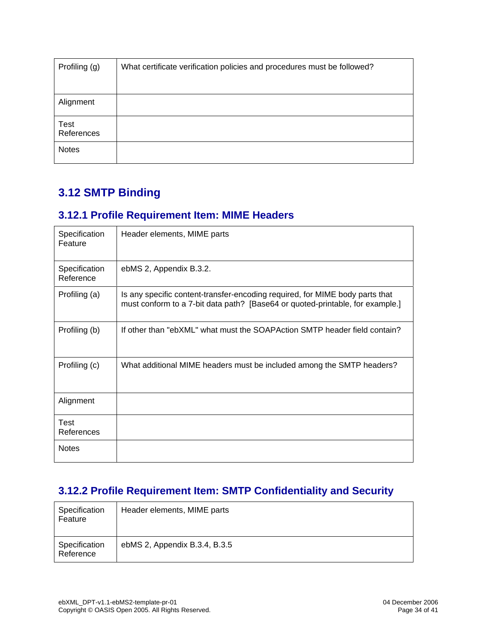| Profiling (g)             | What certificate verification policies and procedures must be followed? |
|---------------------------|-------------------------------------------------------------------------|
|                           |                                                                         |
| Alignment                 |                                                                         |
| <b>Test</b><br>References |                                                                         |
| <b>Notes</b>              |                                                                         |

#### **3.12 SMTP Binding**

#### **3.12.1 Profile Requirement Item: MIME Headers**

| Specification<br>Feature   | Header elements, MIME parts                                                                                                                                   |
|----------------------------|---------------------------------------------------------------------------------------------------------------------------------------------------------------|
| Specification<br>Reference | ebMS 2, Appendix B.3.2.                                                                                                                                       |
| Profiling (a)              | Is any specific content-transfer-encoding required, for MIME body parts that<br>must conform to a 7-bit data path? [Base64 or quoted-printable, for example.] |
| Profiling (b)              | If other than "ebXML" what must the SOAPAction SMTP header field contain?                                                                                     |
| Profiling (c)              | What additional MIME headers must be included among the SMTP headers?                                                                                         |
| Alignment                  |                                                                                                                                                               |
| <b>Test</b><br>References  |                                                                                                                                                               |
| <b>Notes</b>               |                                                                                                                                                               |

#### **3.12.2 Profile Requirement Item: SMTP Confidentiality and Security**

| Specification<br>Feature   | Header elements, MIME parts   |
|----------------------------|-------------------------------|
| Specification<br>Reference | ebMS 2, Appendix B.3.4, B.3.5 |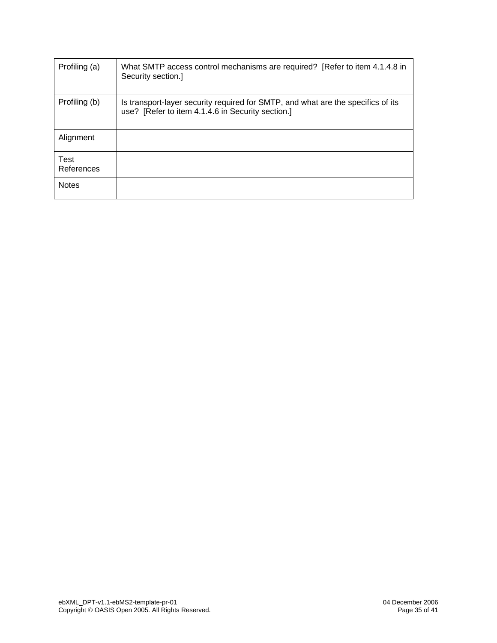| Profiling (a)      | What SMTP access control mechanisms are required? [Refer to item 4.1.4.8 in<br>Security section.]                                     |
|--------------------|---------------------------------------------------------------------------------------------------------------------------------------|
| Profiling (b)      | Is transport-layer security required for SMTP, and what are the specifics of its<br>use? [Refer to item 4.1.4.6 in Security section.] |
| Alignment          |                                                                                                                                       |
| Test<br>References |                                                                                                                                       |
| <b>Notes</b>       |                                                                                                                                       |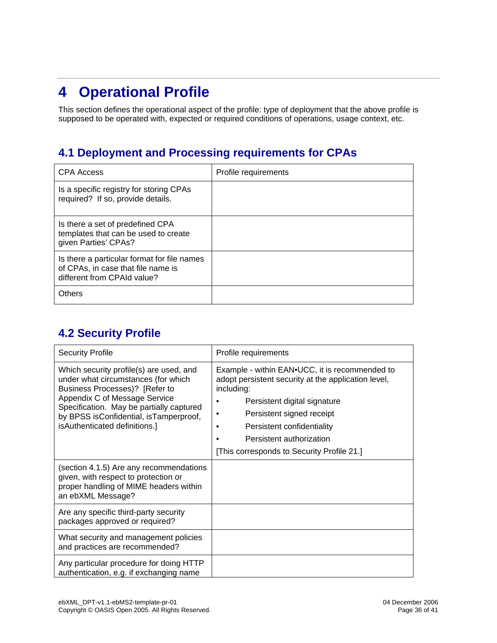# **4 Operational Profile**

This section defines the operational aspect of the profile: type of deployment that the above profile is supposed to be operated with, expected or required conditions of operations, usage context, etc.

#### **4.1 Deployment and Processing requirements for CPAs**

| <b>CPA Access</b>                                                                                                | Profile requirements |
|------------------------------------------------------------------------------------------------------------------|----------------------|
| Is a specific registry for storing CPAs<br>required? If so, provide details.                                     |                      |
| Is there a set of predefined CPA<br>templates that can be used to create<br>given Parties' CPAs?                 |                      |
| Is there a particular format for file names<br>of CPAs, in case that file name is<br>different from CPAId value? |                      |
| <b>Others</b>                                                                                                    |                      |

#### **4.2 Security Profile**

| <b>Security Profile</b>                                                                                                                                                                                                                                                  | Profile requirements                                                                                                                                                                                                                                                                     |
|--------------------------------------------------------------------------------------------------------------------------------------------------------------------------------------------------------------------------------------------------------------------------|------------------------------------------------------------------------------------------------------------------------------------------------------------------------------------------------------------------------------------------------------------------------------------------|
| Which security profile(s) are used, and<br>under what circumstances (for which<br>Business Processes)? [Refer to<br>Appendix C of Message Service<br>Specification. May be partially captured<br>by BPSS isConfidential, isTamperproof,<br>isAuthenticated definitions.] | Example - within EAN.UCC, it is recommended to<br>adopt persistent security at the application level,<br>including:<br>Persistent digital signature<br>Persistent signed receipt<br>Persistent confidentiality<br>Persistent authorization<br>[This corresponds to Security Profile 21.] |
| (section 4.1.5) Are any recommendations<br>given, with respect to protection or<br>proper handling of MIME headers within<br>an ebXML Message?                                                                                                                           |                                                                                                                                                                                                                                                                                          |
| Are any specific third-party security<br>packages approved or required?                                                                                                                                                                                                  |                                                                                                                                                                                                                                                                                          |
| What security and management policies<br>and practices are recommended?                                                                                                                                                                                                  |                                                                                                                                                                                                                                                                                          |
| Any particular procedure for doing HTTP<br>authentication, e.g. if exchanging name                                                                                                                                                                                       |                                                                                                                                                                                                                                                                                          |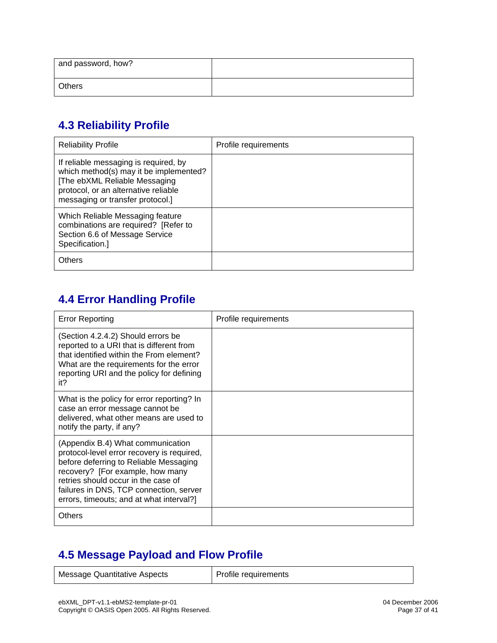| and password, how? |  |
|--------------------|--|
| Others             |  |

#### **4.3 Reliability Profile**

| <b>Reliability Profile</b>                                                                                                                                                                   | Profile requirements |
|----------------------------------------------------------------------------------------------------------------------------------------------------------------------------------------------|----------------------|
| If reliable messaging is required, by<br>which method(s) may it be implemented?<br>[The ebXML Reliable Messaging<br>protocol, or an alternative reliable<br>messaging or transfer protocol.] |                      |
| Which Reliable Messaging feature<br>combinations are required? [Refer to<br>Section 6.6 of Message Service<br>Specification.]                                                                |                      |
| <b>Others</b>                                                                                                                                                                                |                      |

#### **4.4 Error Handling Profile**

| <b>Error Reporting</b>                                                                                                                                                                                                                                                                      | Profile requirements |
|---------------------------------------------------------------------------------------------------------------------------------------------------------------------------------------------------------------------------------------------------------------------------------------------|----------------------|
| (Section 4.2.4.2) Should errors be<br>reported to a URI that is different from<br>that identified within the From element?<br>What are the requirements for the error<br>reporting URI and the policy for defining<br>it?                                                                   |                      |
| What is the policy for error reporting? In<br>case an error message cannot be<br>delivered, what other means are used to<br>notify the party, if any?                                                                                                                                       |                      |
| (Appendix B.4) What communication<br>protocol-level error recovery is required,<br>before deferring to Reliable Messaging<br>recovery? [For example, how many<br>retries should occur in the case of<br>failures in DNS, TCP connection, server<br>errors, timeouts; and at what interval?] |                      |
| <b>Others</b>                                                                                                                                                                                                                                                                               |                      |

#### **4.5 Message Payload and Flow Profile**

Message Quantitative Aspects | Profile requirements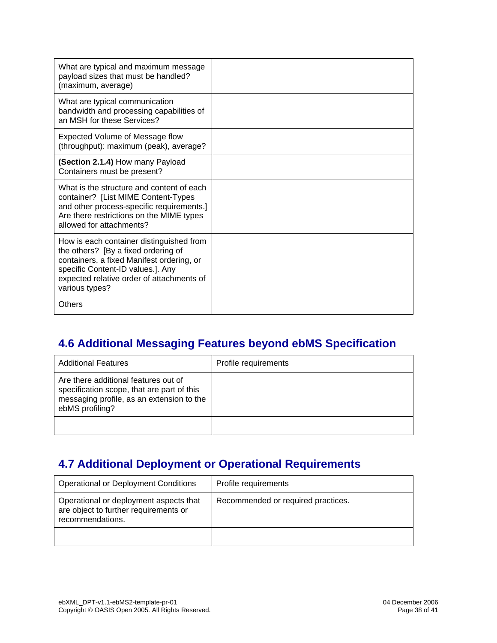| What are typical and maximum message<br>payload sizes that must be handled?<br>(maximum, average)                                                                                                                                |  |
|----------------------------------------------------------------------------------------------------------------------------------------------------------------------------------------------------------------------------------|--|
| What are typical communication<br>bandwidth and processing capabilities of<br>an MSH for these Services?                                                                                                                         |  |
| Expected Volume of Message flow<br>(throughput): maximum (peak), average?                                                                                                                                                        |  |
| (Section 2.1.4) How many Payload<br>Containers must be present?                                                                                                                                                                  |  |
| What is the structure and content of each<br>container? [List MIME Content-Types<br>and other process-specific requirements.]<br>Are there restrictions on the MIME types<br>allowed for attachments?                            |  |
| How is each container distinguished from<br>the others? [By a fixed ordering of<br>containers, a fixed Manifest ordering, or<br>specific Content-ID values.]. Any<br>expected relative order of attachments of<br>various types? |  |
| Others                                                                                                                                                                                                                           |  |

#### **4.6 Additional Messaging Features beyond ebMS Specification**

| <b>Additional Features</b>                                                                                                                         | Profile requirements |
|----------------------------------------------------------------------------------------------------------------------------------------------------|----------------------|
| Are there additional features out of<br>specification scope, that are part of this<br>messaging profile, as an extension to the<br>ebMS profiling? |                      |
|                                                                                                                                                    |                      |

#### **4.7 Additional Deployment or Operational Requirements**

| <b>Operational or Deployment Conditions</b>                                                         | Profile requirements               |
|-----------------------------------------------------------------------------------------------------|------------------------------------|
| Operational or deployment aspects that<br>are object to further requirements or<br>recommendations. | Recommended or required practices. |
|                                                                                                     |                                    |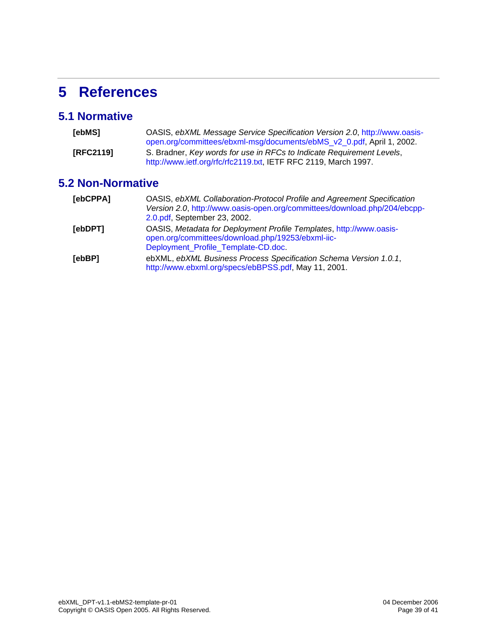# **5 References**

#### **5.1 Normative**

| [ebMS]    | OASIS, ebXML Message Service Specification Version 2.0, http://www.oasis-<br>open.org/committees/ebxml-msg/documents/ebMS_v2_0.pdf, April 1, 2002. |
|-----------|----------------------------------------------------------------------------------------------------------------------------------------------------|
| [RFC2119] | S. Bradner, Key words for use in RFCs to Indicate Requirement Levels,<br>http://www.ietf.org/rfc/rfc2119.txt, IETF RFC 2119, March 1997.           |

#### **5.2 Non-Normative**

| [ebCPPA] | OASIS, ebXML Collaboration-Protocol Profile and Agreement Specification<br>Version 2.0, http://www.oasis-open.org/committees/download.php/204/ebcpp-<br>2.0.pdf, September 23, 2002. |  |  |
|----------|--------------------------------------------------------------------------------------------------------------------------------------------------------------------------------------|--|--|
| [ebDPT]  | OASIS, Metadata for Deployment Profile Templates, http://www.oasis-<br>open.org/committees/download.php/19253/ebxml-iic-<br>Deployment_Profile_Template-CD.doc.                      |  |  |
| [ebBP]   | ebXML, ebXML Business Process Specification Schema Version 1.0.1,<br>http://www.ebxml.org/specs/ebBPSS.pdf, May 11, 2001.                                                            |  |  |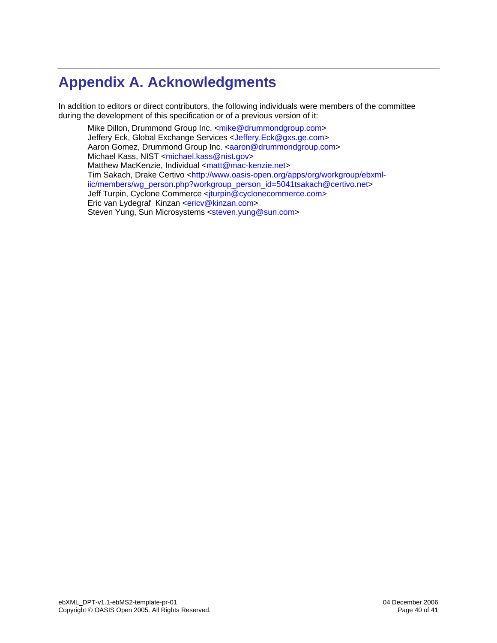# **Appendix A. Acknowledgments**

In addition to editors or direct contributors, the following individuals were members of the committee during the development of this specification or of a previous version of it:

Mike Dillon, Drummond Group Inc. < mike@drummondgroup.com> Jeffery Eck, Global Exchange Services <Jeffery.Eck@gxs.ge.com> Aaron Gomez, Drummond Group Inc. <aaron@drummondgroup.com> Michael Kass, NIST <michael.kass@nist.gov> Matthew MacKenzie, Individual <matt@mac-kenzie.net> Tim Sakach, Drake Certivo <http://www.oasis-open.org/apps/org/workgroup/ebxmliic/members/wg\_person.php?workgroup\_person\_id=5041tsakach@certivo.net> Jeff Turpin, Cyclone Commerce <jturpin@cyclonecommerce.com> Eric van Lydegraf Kinzan <ericv@kinzan.com> Steven Yung, Sun Microsystems <steven.yung@sun.com>